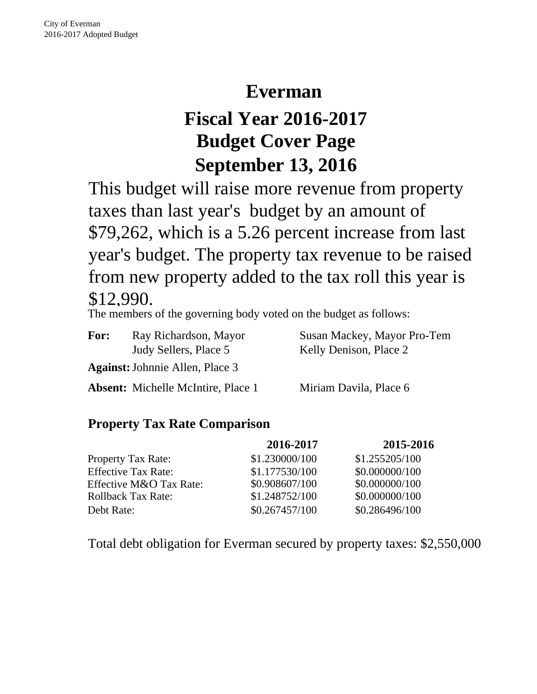# **Everman**

# **Fiscal Year 2016-2017 Budget Cover Page September 13, 2016**

This budget will raise more revenue from property taxes than last year's budget by an amount of \$79,262, which is a 5.26 percent increase from last year's budget. The property tax revenue to be raised from new property added to the tax roll this year is \$12,990.

The members of the governing body voted on the budget as follows:

| <b>For:</b> | Ray Richardson, Mayor                     | Susan Mackey, Mayor Pro-Tem |
|-------------|-------------------------------------------|-----------------------------|
|             | Judy Sellers, Place 5                     | Kelly Denison, Place 2      |
|             | <b>Against:</b> Johnnie Allen, Place 3    |                             |
|             | <b>Absent:</b> Michelle McIntire, Place 1 | Miriam Davila, Place 6      |

# **Property Tax Rate Comparison**

|                            | 2016-2017      | 2015-2016      |
|----------------------------|----------------|----------------|
| <b>Property Tax Rate:</b>  | \$1.230000/100 | \$1.255205/100 |
| <b>Effective Tax Rate:</b> | \$1.177530/100 | \$0.000000/100 |
| Effective M&O Tax Rate:    | \$0.908607/100 | \$0.000000/100 |
| <b>Rollback Tax Rate:</b>  | \$1.248752/100 | \$0.000000/100 |
| Debt Rate:                 | \$0.267457/100 | \$0.286496/100 |

Total debt obligation for Everman secured by property taxes: \$2,550,000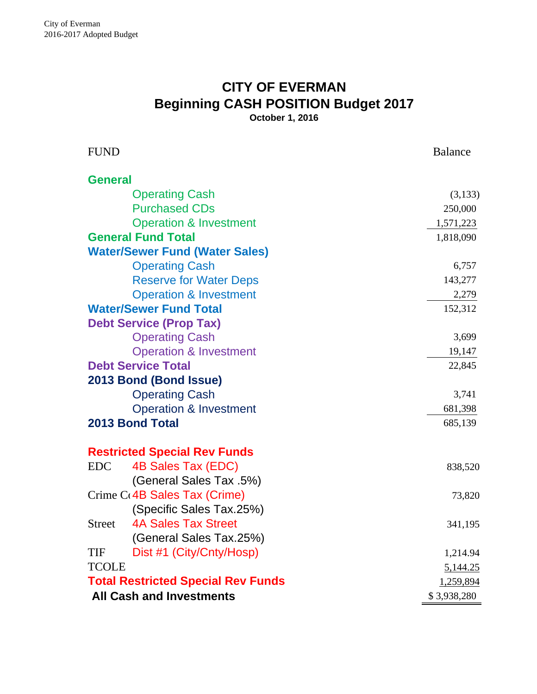# **CITY OF EVERMAN Beginning CASH POSITION Budget 2017**

**October 1, 2016**

| <b>FUND</b>                               | <b>Balance</b> |
|-------------------------------------------|----------------|
| <b>General</b>                            |                |
| <b>Operating Cash</b>                     | (3,133)        |
| <b>Purchased CDs</b>                      | 250,000        |
| <b>Operation &amp; Investment</b>         | 1,571,223      |
| <b>General Fund Total</b>                 | 1,818,090      |
| <b>Water/Sewer Fund (Water Sales)</b>     |                |
| <b>Operating Cash</b>                     | 6,757          |
| <b>Reserve for Water Deps</b>             | 143,277        |
| <b>Operation &amp; Investment</b>         | 2,279          |
| <b>Water/Sewer Fund Total</b>             | 152,312        |
| <b>Debt Service (Prop Tax)</b>            |                |
| <b>Operating Cash</b>                     | 3,699          |
| <b>Operation &amp; Investment</b>         | 19,147         |
| <b>Debt Service Total</b>                 | 22,845         |
| 2013 Bond (Bond Issue)                    |                |
| <b>Operating Cash</b>                     | 3,741          |
| <b>Operation &amp; Investment</b>         | 681,398        |
| <b>2013 Bond Total</b>                    | 685,139        |
| <b>Restricted Special Rev Funds</b>       |                |
| 4B Sales Tax (EDC)<br><b>EDC</b>          | 838,520        |
| (General Sales Tax .5%)                   |                |
| Crime C <sub>(4</sub> B Sales Tax (Crime) | 73,820         |
| (Specific Sales Tax.25%)                  |                |
| <b>4A Sales Tax Street</b><br>Street      | 341,195        |
| (General Sales Tax.25%)                   |                |
| Dist #1 (City/Cnty/Hosp)<br>TIF           | 1,214.94       |
| <b>TCOLE</b>                              | 5,144.25       |
| <b>Total Restricted Special Rev Funds</b> | 1,259,894      |
| <b>All Cash and Investments</b>           | \$3,938,280    |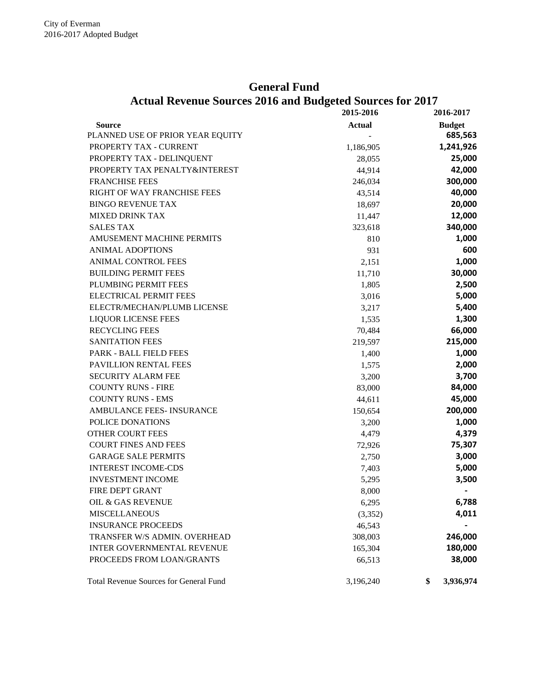#### **General Fund**

|                                               | 2015-2016     | 2016-2017       |
|-----------------------------------------------|---------------|-----------------|
| <b>Source</b>                                 | <b>Actual</b> | <b>Budget</b>   |
| PLANNED USE OF PRIOR YEAR EQUITY              |               | 685,563         |
| PROPERTY TAX - CURRENT                        | 1,186,905     | 1,241,926       |
| PROPERTY TAX - DELINQUENT                     | 28,055        | 25,000          |
| PROPERTY TAX PENALTY&INTEREST                 | 44,914        | 42,000          |
| <b>FRANCHISE FEES</b>                         | 246,034       | 300,000         |
| RIGHT OF WAY FRANCHISE FEES                   | 43,514        | 40,000          |
| <b>BINGO REVENUE TAX</b>                      | 18,697        | 20,000          |
| <b>MIXED DRINK TAX</b>                        | 11,447        | 12,000          |
| <b>SALES TAX</b>                              | 323,618       | 340,000         |
| <b>AMUSEMENT MACHINE PERMITS</b>              | 810           | 1,000           |
| <b>ANIMAL ADOPTIONS</b>                       | 931           | 600             |
| ANIMAL CONTROL FEES                           | 2,151         | 1,000           |
| <b>BUILDING PERMIT FEES</b>                   | 11,710        | 30,000          |
| PLUMBING PERMIT FEES                          | 1,805         | 2,500           |
| <b>ELECTRICAL PERMIT FEES</b>                 | 3,016         | 5,000           |
| ELECTR/MECHAN/PLUMB LICENSE                   | 3,217         | 5,400           |
| <b>LIQUOR LICENSE FEES</b>                    | 1,535         | 1,300           |
| <b>RECYCLING FEES</b>                         | 70,484        | 66,000          |
| <b>SANITATION FEES</b>                        | 219,597       | 215,000         |
| PARK - BALL FIELD FEES                        | 1,400         | 1,000           |
| PAVILLION RENTAL FEES                         | 1,575         | 2,000           |
| <b>SECURITY ALARM FEE</b>                     | 3,200         | 3,700           |
| <b>COUNTY RUNS - FIRE</b>                     | 83,000        | 84,000          |
| <b>COUNTY RUNS - EMS</b>                      | 44,611        | 45,000          |
| AMBULANCE FEES- INSURANCE                     | 150,654       | 200,000         |
| POLICE DONATIONS                              | 3,200         | 1,000           |
| <b>OTHER COURT FEES</b>                       | 4,479         | 4,379           |
| <b>COURT FINES AND FEES</b>                   | 72,926        | 75,307          |
| <b>GARAGE SALE PERMITS</b>                    | 2,750         | 3,000           |
| <b>INTEREST INCOME-CDS</b>                    | 7,403         | 5,000           |
| <b>INVESTMENT INCOME</b>                      | 5,295         | 3,500           |
| FIRE DEPT GRANT                               | 8,000         |                 |
| OIL & GAS REVENUE                             | 6,295         | 6,788           |
| <b>MISCELLANEOUS</b>                          | (3,352)       | 4,011           |
| <b>INSURANCE PROCEEDS</b>                     | 46,543        |                 |
| TRANSFER W/S ADMIN. OVERHEAD                  | 308,003       | 246,000         |
| <b>INTER GOVERNMENTAL REVENUE</b>             | 165,304       | 180,000         |
| PROCEEDS FROM LOAN/GRANTS                     | 66,513        | 38,000          |
| <b>Total Revenue Sources for General Fund</b> | 3,196,240     | \$<br>3,936,974 |

## **Actual Revenue Sources 2016 and Budgeted Sources for 2017**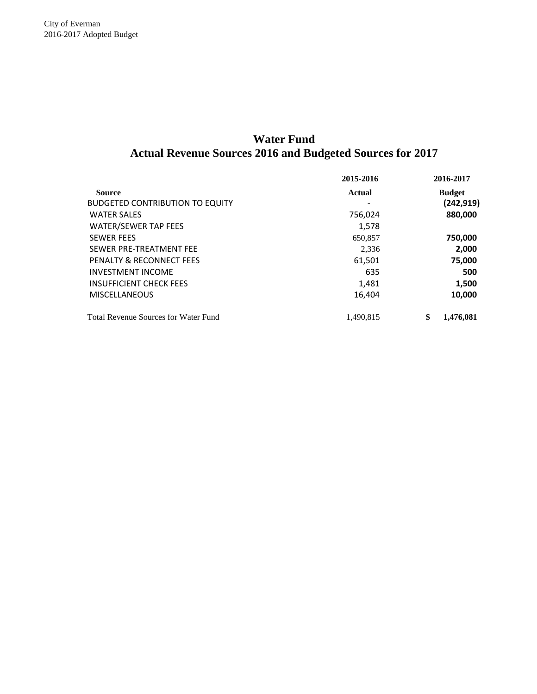### **Actual Revenue Sources 2016 and Budgeted Sources for 2017 Water Fund**

|                                             | 2015-2016     | 2016-2017       |
|---------------------------------------------|---------------|-----------------|
| <b>Source</b>                               | <b>Actual</b> | <b>Budget</b>   |
| <b>BUDGETED CONTRIBUTION TO EQUITY</b>      |               | (242, 919)      |
| <b>WATER SALES</b>                          | 756,024       | 880,000         |
| <b>WATER/SEWER TAP FEES</b>                 | 1,578         |                 |
| <b>SEWER FEES</b>                           | 650,857       | 750,000         |
| SEWER PRE-TREATMENT FEE                     | 2,336         | 2,000           |
| PENALTY & RECONNECT FEES                    | 61,501        | 75,000          |
| <b>INVESTMENT INCOME</b>                    | 635           | 500             |
| <b>INSUFFICIENT CHECK FEES</b>              | 1,481         | 1,500           |
| <b>MISCELLANEOUS</b>                        | 16,404        | 10,000          |
| <b>Total Revenue Sources for Water Fund</b> | 1.490.815     | \$<br>1.476.081 |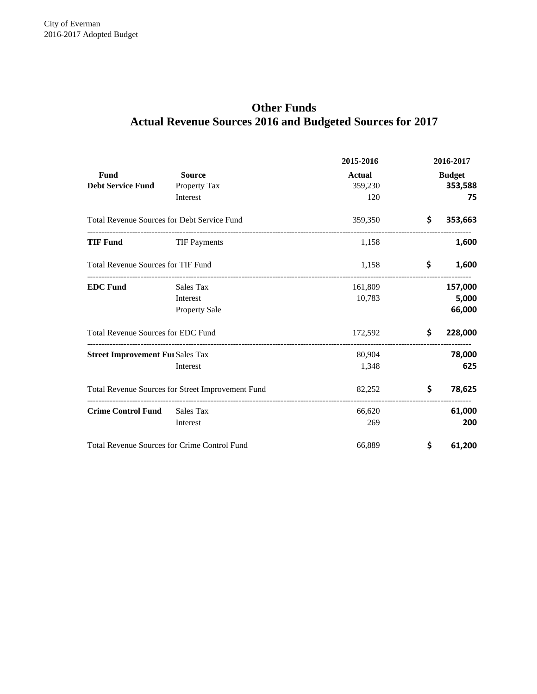# **Actual Revenue Sources 2016 and Budgeted Sources for 2017 Other Funds**

|                                                    |                                                   | 2015-2016     |                            | 2016-2017     |
|----------------------------------------------------|---------------------------------------------------|---------------|----------------------------|---------------|
| Fund                                               | <b>Source</b>                                     | <b>Actual</b> |                            | <b>Budget</b> |
| <b>Debt Service Fund</b>                           | Property Tax                                      | 359,230       |                            | 353,588       |
|                                                    | Interest                                          | 120           |                            | 75            |
| <b>Total Revenue Sources for Debt Service Fund</b> |                                                   | 359,350       | \$                         | 353,663       |
| TIF Fund                                           | <b>TIF Payments</b>                               | 1,158         |                            | 1,600         |
| <b>Total Revenue Sources for TIF Fund</b>          |                                                   | 1,158         | \$                         | 1,600         |
| <b>EDC Fund</b>                                    | Sales Tax                                         | 161,809       |                            | 157,000       |
|                                                    | Interest                                          | 10,783        |                            | 5,000         |
|                                                    | <b>Property Sale</b>                              |               |                            | 66,000        |
| <b>Total Revenue Sources for EDC Fund</b>          |                                                   | 172,592       | \$                         | 228,000       |
| <b>Street Improvement Fui Sales Tax</b>            |                                                   | 80,904        |                            | 78,000        |
|                                                    | Interest                                          | 1,348         |                            | 625           |
|                                                    | Total Revenue Sources for Street Improvement Fund | 82,252        | \$                         | 78,625        |
| <b>Crime Control Fund</b>                          | Sales Tax                                         | 66,620        | -------------------------- | 61,000        |
|                                                    | Interest                                          | 269           |                            | 200           |
|                                                    | Total Revenue Sources for Crime Control Fund      | 66,889        | \$                         | 61,200        |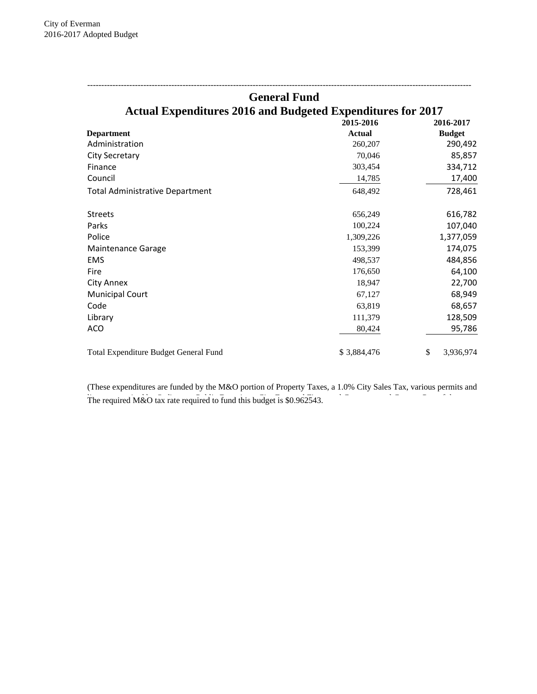|                                                                    | <b>General Fund</b> |                 |
|--------------------------------------------------------------------|---------------------|-----------------|
| <b>Actual Expenditures 2016 and Budgeted Expenditures for 2017</b> |                     |                 |
|                                                                    | 2015-2016           | 2016-2017       |
| <b>Department</b>                                                  | <b>Actual</b>       | <b>Budget</b>   |
| Administration                                                     | 260,207             | 290,492         |
| <b>City Secretary</b>                                              | 70,046              | 85,857          |
| Finance                                                            | 303,454             | 334,712         |
| Council                                                            | 14,785              | 17,400          |
| Total Administrative Department                                    | 648.492             | 728,461         |
| <b>Streets</b>                                                     | 656,249             | 616,782         |
| Parks                                                              | 100,224             | 107,040         |
| Police                                                             | 1,309,226           | 1,377,059       |
| Maintenance Garage                                                 | 153,399             | 174,075         |
| <b>EMS</b>                                                         | 498,537             | 484,856         |
| Fire                                                               | 176,650             | 64,100          |
| <b>City Annex</b>                                                  | 18,947              | 22,700          |
| <b>Municipal Court</b>                                             | 67,127              | 68,949          |
| Code                                                               | 63,819              | 68,657          |
| Library                                                            | 111,379             | 128,509         |
| <b>ACO</b>                                                         | 80,424              | 95,786          |
| Total Expenditure Budget General Fund                              | \$3,884,476         | \$<br>3,936,974 |

The required M&O tax rate required to fund this budget is \$0.962543. (These expenditures are funded by the M&O portion of Property Taxes, a 1.0% City Sales Tax, various permits and The required  $M\&O$  fax rate required to fund this budget is \$0.962543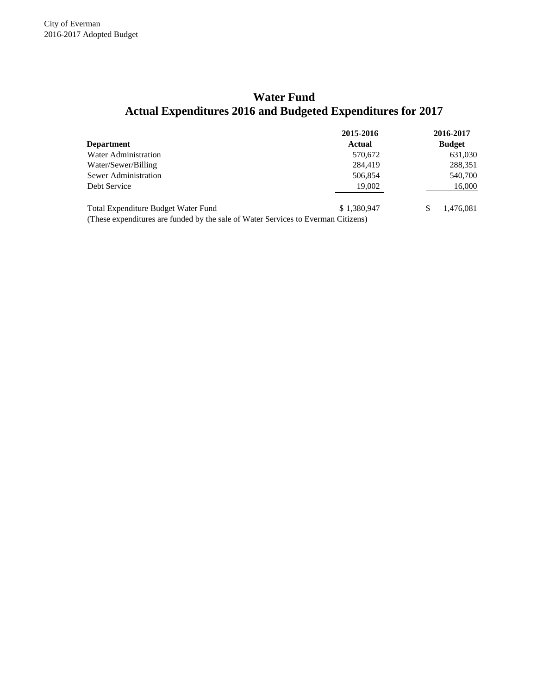# **Actual Expenditures 2016 and Budgeted Expenditures for 2017 Water Fund**

|                                                                                   | 2015-2016   | 2016-2017     |
|-----------------------------------------------------------------------------------|-------------|---------------|
| <b>Department</b>                                                                 | Actual      | <b>Budget</b> |
| Water Administration                                                              | 570,672     | 631,030       |
| Water/Sewer/Billing                                                               | 284,419     | 288,351       |
| Sewer Administration                                                              | 506,854     | 540,700       |
| Debt Service                                                                      | 19,002      | 16,000        |
| Total Expenditure Budget Water Fund                                               | \$1,380,947 | 1.476.081     |
| (These expenditures are funded by the sale of Water Services to Everman Citizens) |             |               |